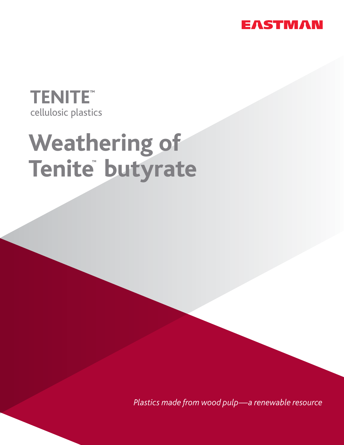

# **TENITE** cellulosic plastics

# **Weathering of** Tenite<sup>®</sup> butyrate

*Plastics made from wood pulp—a renewable resource*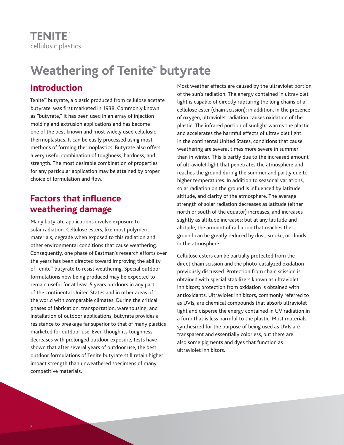# **Weathering of Tenite<sup>™</sup> butyrate**

# **Introduction**

Tenite™ butyrate, a plastic produced from cellulose acetate butyrate, was first marketed in 1938. Commonly known as "butyrate," it has been used in an array of injection molding and extrusion applications and has become one of the best known and most widely used cellulosic thermoplastics. It can be easily processed using most methods of forming thermoplastics. Butyrate also offers a very useful combination of toughness, hardness, and strength. The most desirable combination of properties for any particular application may be attained by proper choice of formulation and flow.

# **Factors that influence weathering damage**

Many butyrate applications involve exposure to solar radiation. Cellulose esters, like most polymeric materials, degrade when exposed to this radiation and other environmental conditions that cause weathering. Consequently, one phase of Eastman's research efforts over the years has been directed toward improving the ability of Tenite™ butyrate to resist weathering. Special outdoor formulations now being produced may be expected to remain useful for at least 5 years outdoors in any part of the continental United States and in other areas of the world with comparable climates. During the critical phases of fabrication, transportation, warehousing, and installation of outdoor applications, butyrate provides a resistance to breakage far superior to that of many plastics marketed for outdoor use. Even though its toughness decreases with prolonged outdoor exposure, tests have shown that after several years of outdoor use, the best outdoor formulations of Tenite butyrate still retain higher impact strength than unweathered specimens of many competitive materials.

Most weather effects are caused by the ultraviolet portion of the sun's radiation. The energy contained in ultraviolet light is capable of directly rupturing the long chains of a cellulose ester (chain scission); in addition, in the presence of oxygen, ultraviolet radiation causes oxidation of the plastic. The infrared portion of sunlight warms the plastic and accelerates the harmful effects of ultraviolet light. In the continental United States, conditions that cause weathering are several times more severe in summer than in winter. This is partly due to the increased amount of ultraviolet light that penetrates the atmosphere and reaches the ground during the summer and partly due to higher temperatures. In addition to seasonal variations, solar radiation on the ground is influenced by latitude, altitude, and clarity of the atmosphere. The average strength of solar radiation decreases as latitude (either north or south of the equator) increases, and increases slightly as altitude increases; but at any latitude and altitude, the amount of radiation that reaches the ground can be greatly reduced by dust, smoke, or clouds in the atmosphere.

Cellulose esters can be partially protected from the direct chain scission and the photo-catalyzed oxidation previously discussed. Protection from chain scission is obtained with special stabilizers known as ultraviolet inhibitors; protection from oxidation is obtained with antioxidants. Ultraviolet inhibitors, commonly referred to as UVIs, are chemical compounds that absorb ultraviolet light and disperse the energy contained in UV radiation in a form that is less harmful to the plastic. Most materials synthesized for the purpose of being used as UVIs are transparent and essentially colorless, but there are also some pigments and dyes that function as ultraviolet inhibitors.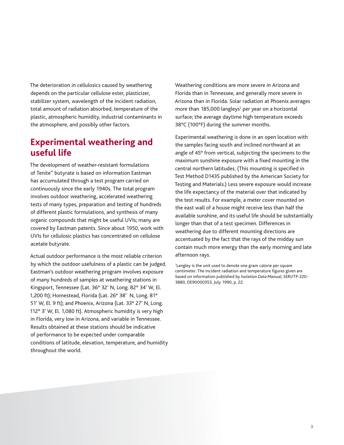The deterioration in cellulosics caused by weathering depends on the particular cellulose ester, plasticizer, stabilizer system, wavelength of the incident radiation, total amount of radiation absorbed, temperature of the plastic, atmospheric humidity, industrial contaminants in the atmosphere, and possibly other factors.

### **Experimental weathering and useful life**

The development of weather-resistant formulations of Tenite™ butyrate is based on information Eastman has accumulated through a test program carried on continuously since the early 1940s. The total program involves outdoor weathering, accelerated weathering tests of many types, preparation and testing of hundreds of different plastic formulations, and synthesis of many organic compounds that might be useful UVIs; many are covered by Eastman patents. Since about 1950, work with UVIs for cellulosic plastics has concentrated on cellulose acetate butyrate.

Actual outdoor performance is the most reliable criterion by which the outdoor usefulness of a plastic can be judged. Eastman's outdoor weathering program involves exposure of many hundreds of samples at weathering stations in Kingsport, Tennessee (Lat. 36° 32' N, Long. 82° 34' W, El. 1,200 ft); Homestead, Florida (Lat. 26° 38'ʹN, Long. 81° 51' W, El. 9 ft); and Phoenix, Arizona (Lat. 33° 27' N, Long. 112° 3' W, El. 1,080 ft). Atmospheric humidity is very high in Florida, very low in Arizona, and variable in Tennessee. Results obtained at these stations should be indicative of performance to be expected under comparable conditions of latitude, elevation, temperature, and humidity throughout the world.

Weathering conditions are more severe in Arizona and Florida than in Tennessee, and generally more severe in Arizona than in Florida. Solar radiation at Phoenix averages more than 185,000 langleys<sup>1</sup> per year on a horizontal surface; the average daytime high temperature exceeds 38°C (100°F) during the summer months.

Experimental weathering is done in an open location with the samples facing south and inclined northward at an angle of 45° from vertical, subjecting the specimens to the maximum sunshine exposure with a fixed mounting in the central northern latitudes. (This mounting is specified in Test Method D1435 published by the American Society for Testing and Materials.) Less severe exposure would increase the life expectancy of the material over that indicated by the test results. For example, a meter cover mounted on the east wall of a house might receive less than half the available sunshine, and its useful life should be substantially longer than that of a test specimen. Differences in weathering due to different mounting directions are accentuated by the fact that the rays of the midday sun contain much more energy than the early morning and late afternoon rays.

1 Langley is the unit used to denote one gram calorie per square centimeter. The incident radiation and temperature figures given are based on information published by *Isolation Data Manual*, SERI/TP-220- 3880, DE90000353, July 1990, p. 22.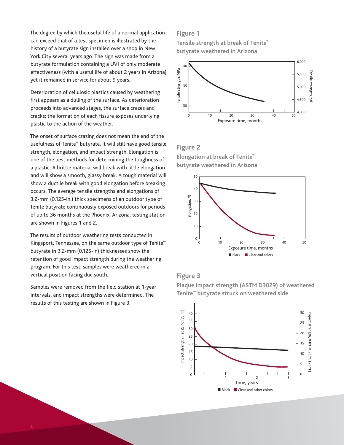The degree by which the useful life of a normal application can exceed that of a test specimen is illustrated by the history of a butyrate sign installed over a shop in New York City several years ago. The sign was made from a butyrate formulation containing a UVI of only moderate effectiveness (with a useful life of about 2 years in Arizona), yet it remained in service for about 9 years.

Deterioration of cellulosic plastics caused by weathering first appears as a dulling of the surface. As deterioration proceeds into advanced stages, the surface crazes and cracks; the formation of each fissure exposes underlying plastic to the action of the weather.

The onset of surface crazing does not mean the end of the usefulness of Tenite™ butyrate. It will still have good tensile strength, elongation, and impact strength. Elongation is one of the best methods for determining the toughness of a plastic. A brittle material will break with little elongation and will show a smooth, glassy break. A tough material will show a ductile break with good elongation before breaking occurs. The average tensile strengths and elongations of 3.2-mm (0.125-in.) thick specimens of an outdoor type of Tenite butyrate continuously exposed outdoors for periods of up to 36 months at the Phoenix, Arizona, testing station are shown in Figures 1 and 2.

The results of outdoor weathering tests conducted in Kingsport, Tennessee, on the same outdoor type of Tenite™ butyrate in 3.2-mm (0.125-in) thicknesses show the retention of good impact strength during the weathering program. For this test, samples were weathered in a vertical position facing due south.

Samples were removed from the field station at 1-year intervals, and impact strengths were determined. The results of this testing are shown in Figure 3.

#### **Figure 1**

**Tensile Strength at Break of** *Tenite™* **butyrate weathered in Arizona butyrate weathered in ArizonaTensile strength at break of Tenite™** 



#### **Figure 2** 0 10

**Elongation at break of** *Tenite™* **butyrate weathered in Arizona butyrate weathered in Arizona Elongation at break of Tenite™** 



#### **Figure 3**



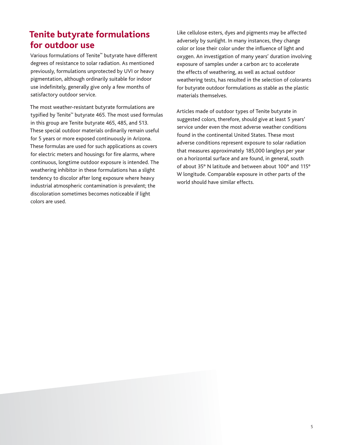# **Tenite butyrate formulations for outdoor use**

Various formulations of Tenite™ butyrate have different degrees of resistance to solar radiation. As mentioned previously, formulations unprotected by UVI or heavy pigmentation, although ordinarily suitable for indoor use indefinitely, generally give only a few months of satisfactory outdoor service.

The most weather-resistant butyrate formulations are typified by Tenite™ butyrate 465. The most used formulas in this group are Tenite butyrate 465, 485, and 513. These special outdoor materials ordinarily remain useful for 5 years or more exposed continuously in Arizona. These formulas are used for such applications as covers for electric meters and housings for fire alarms, where continuous, longtime outdoor exposure is intended. The weathering inhibitor in these formulations has a slight tendency to discolor after long exposure where heavy industrial atmospheric contamination is prevalent; the discoloration sometimes becomes noticeable if light colors are used.

Like cellulose esters, dyes and pigments may be affected adversely by sunlight. In many instances, they change color or lose their color under the influence of light and oxygen. An investigation of many years' duration involving exposure of samples under a carbon arc to accelerate the effects of weathering, as well as actual outdoor weathering tests, has resulted in the selection of colorants for butyrate outdoor formulations as stable as the plastic materials themselves.

Articles made of outdoor types of Tenite butyrate in suggested colors, therefore, should give at least 5 years' service under even the most adverse weather conditions found in the continental United States. These most adverse conditions represent exposure to solar radiation that measures approximately 185,000 langleys per year on a horizontal surface and are found, in general, south of about 35° N latitude and between about 100° and 115° W longitude. Comparable exposure in other parts of the world should have similar effects.